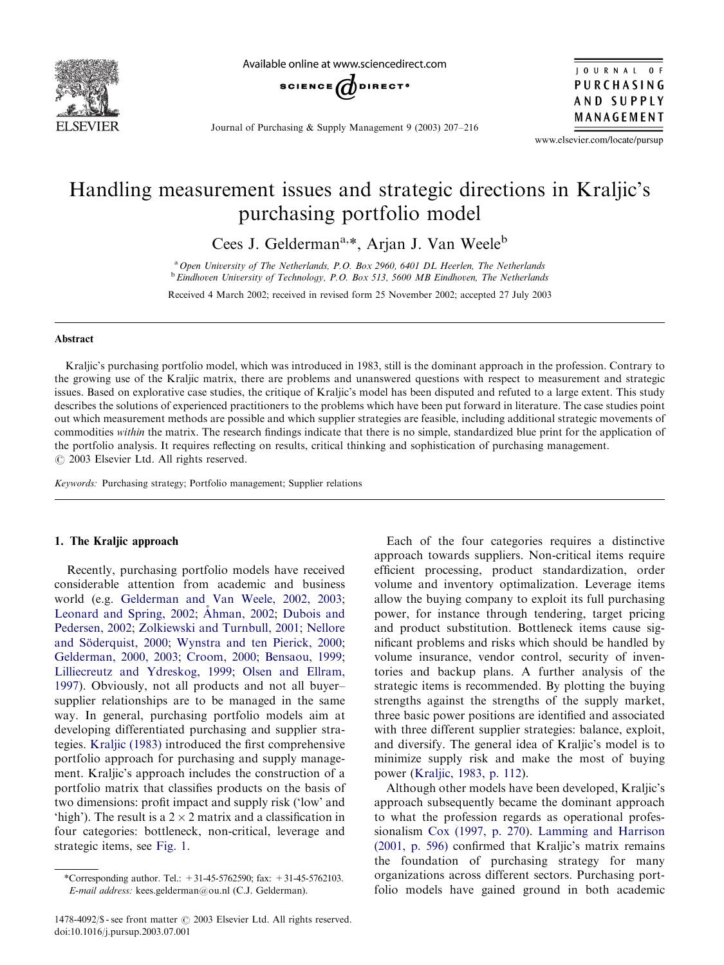

Available online at www.sciencedirect.com



JOURNAL OF **PURCHASING** AND SUPPLY MANAGEMENT

Journal of Purchasing & Supply Management 9 (2003) 207–216

www.elsevier.com/locate/pursup

# Handling measurement issues and strategic directions in Kraljic's purchasing portfolio model

Cees J. Gelderman<sup>a,\*</sup>, Arjan J. Van Weele<sup>b</sup>

<sup>a</sup> Open University of The Netherlands, P.O. Box 2960, 6401 DL Heerlen, The Netherlands  $b$  Eindhoven University of Technology, P.O. Box 513, 5600 MB Eindhoven, The Netherlands

Received 4 March 2002; received in revised form 25 November 2002; accepted 27 July 2003

#### Abstract

Kraljic's purchasing portfolio model, which was introduced in 1983, still is the dominant approach in the profession. Contrary to the growing use of the Kraljic matrix, there are problems and unanswered questions with respect to measurement and strategic issues. Based on explorative case studies, the critique of Kraljic's model has been disputed and refuted to a large extent. This study describes the solutions of experienced practitioners to the problems which have been put forward in literature. The case studies point out which measurement methods are possible and which supplier strategies are feasible, including additional strategic movements of commodities within the matrix. The research findings indicate that there is no simple, standardized blue print for the application of the portfolio analysis. It requires reflecting on results, critical thinking and sophistication of purchasing management.  $\odot$  2003 Elsevier Ltd. All rights reserved.

Keywords: Purchasing strategy; Portfolio management; Supplier relations

#### 1. The Kraljic approach

Recently, purchasing portfolio models have received considerable attention from academic and business world (e.g. [Gelderman and Van Weele, 2002, 2003](#page-9-0); [Leonard and Spring, 2002](#page-9-0); A[hman, 2002](#page-9-0); [Dubois and](#page-9-0) [Pedersen, 2002](#page-9-0); [Zolkiewski and Turnbull, 2001;](#page-9-0) [Nellore](#page-9-0) and Söderquist, 2000; [Wynstra and ten Pierick, 2000](#page-9-0); [Gelderman, 2000, 2003;](#page-9-0) [Croom, 2000;](#page-9-0) [Bensaou, 1999](#page-9-0); [Lilliecreutz and Ydreskog, 1999;](#page-9-0) [Olsen and Ellram,](#page-9-0) [1997\)](#page-9-0). Obviously, not all products and not all buyer– supplier relationships are to be managed in the same way. In general, purchasing portfolio models aim at developing differentiated purchasing and supplier strategies. [Kraljic \(1983\)](#page-9-0) introduced the first comprehensive portfolio approach for purchasing and supply management. Kraljic's approach includes the construction of a portfolio matrix that classifies products on the basis of two dimensions: profit impact and supply risk ('low' and 'high'). The result is a  $2 \times 2$  matrix and a classification in four categories: bottleneck, non-critical, leverage and strategic items, see [Fig. 1.](#page-1-0)

Each of the four categories requires a distinctive approach towards suppliers. Non-critical items require efficient processing, product standardization, order volume and inventory optimalization. Leverage items allow the buying company to exploit its full purchasing power, for instance through tendering, target pricing and product substitution. Bottleneck items cause significant problems and risks which should be handled by volume insurance, vendor control, security of inventories and backup plans. A further analysis of the strategic items is recommended. By plotting the buying strengths against the strengths of the supply market, three basic power positions are identified and associated with three different supplier strategies: balance, exploit, and diversify. The general idea of Kraljic's model is to minimize supply risk and make the most of buying power ([Kraljic, 1983, p. 112\)](#page-9-0).

Although other models have been developed, Kraljic's approach subsequently became the dominant approach to what the profession regards as operational professionalism [Cox \(1997, p. 270](#page-9-0)). [Lamming and Harrison](#page-9-0) [\(2001, p. 596\)](#page-9-0) confirmed that Kraljic's matrix remains the foundation of purchasing strategy for many organizations across different sectors. Purchasing portfolio models have gained ground in both academic

<sup>\*</sup>Corresponding author. Tel.:  $+31-45-5762590$ ; fax:  $+31-45-5762103$ . E-mail address: kees.gelderman@ou.nl (C.J. Gelderman).

<sup>1478-4092/\$ -</sup> see front matter  $\odot$  2003 Elsevier Ltd. All rights reserved. doi:10.1016/j.pursup.2003.07.001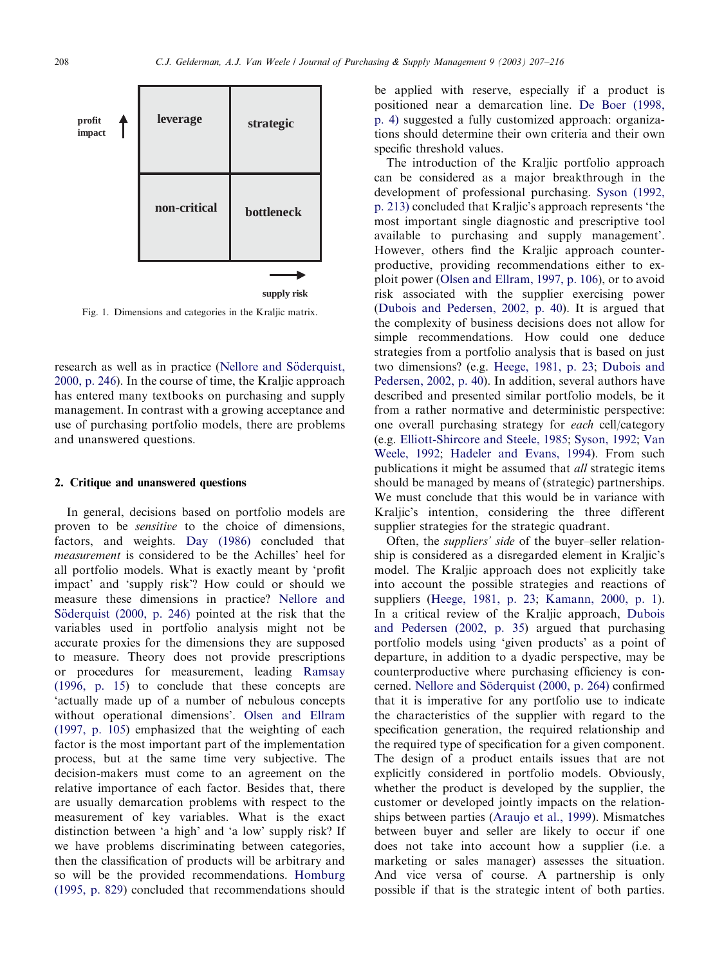<span id="page-1-0"></span>

Fig. 1. Dimensions and categories in the Kraljic matrix.

research as well as in practice ([Nellore and S](#page-9-0)ö[derquist,](#page-9-0) [2000, p. 246\)](#page-9-0). In the course of time, the Kraljic approach has entered many textbooks on purchasing and supply management. In contrast with a growing acceptance and use of purchasing portfolio models, there are problems and unanswered questions.

## 2. Critique and unanswered questions

In general, decisions based on portfolio models are proven to be sensitive to the choice of dimensions, factors, and weights. [Day \(1986\)](#page-9-0) concluded that measurement is considered to be the Achilles' heel for all portfolio models. What is exactly meant by 'profit impact' and 'supply risk'? How could or should we measure these dimensions in practice? [Nellore and](#page-9-0) [S](#page-9-0)ö[derquist \(2000, p. 246\)](#page-9-0) pointed at the risk that the variables used in portfolio analysis might not be accurate proxies for the dimensions they are supposed to measure. Theory does not provide prescriptions or procedures for measurement, leading [Ramsay](#page-9-0) [\(1996, p. 15](#page-9-0)) to conclude that these concepts are 'actually made up of a number of nebulous concepts without operational dimensions'. [Olsen and Ellram](#page-9-0) [\(1997, p. 105](#page-9-0)) emphasized that the weighting of each factor is the most important part of the implementation process, but at the same time very subjective. The decision-makers must come to an agreement on the relative importance of each factor. Besides that, there are usually demarcation problems with respect to the measurement of key variables. What is the exact distinction between 'a high' and 'a low' supply risk? If we have problems discriminating between categories, then the classification of products will be arbitrary and so will be the provided recommendations. [Homburg](#page-9-0) [\(1995, p. 829](#page-9-0)) concluded that recommendations should be applied with reserve, especially if a product is positioned near a demarcation line. [De Boer \(1998,](#page-9-0) [p. 4\)](#page-9-0) suggested a fully customized approach: organizations should determine their own criteria and their own specific threshold values.

The introduction of the Kraljic portfolio approach can be considered as a major breakthrough in the development of professional purchasing. [Syson \(1992,](#page-9-0) [p. 213\)](#page-9-0) concluded that Kraljic's approach represents 'the most important single diagnostic and prescriptive tool available to purchasing and supply management'. However, others find the Kraljic approach counterproductive, providing recommendations either to exploit power [\(Olsen and Ellram, 1997, p. 106\)](#page-9-0), or to avoid risk associated with the supplier exercising power [\(Dubois and Pedersen, 2002, p. 40\)](#page-9-0). It is argued that the complexity of business decisions does not allow for simple recommendations. How could one deduce strategies from a portfolio analysis that is based on just two dimensions? (e.g. [Heege, 1981, p. 23;](#page-9-0) [Dubois and](#page-9-0) [Pedersen, 2002, p. 40\)](#page-9-0). In addition, several authors have described and presented similar portfolio models, be it from a rather normative and deterministic perspective: one overall purchasing strategy for each cell/category (e.g. [Elliott-Shircore and Steele, 1985;](#page-9-0) [Syson, 1992;](#page-9-0) [Van](#page-9-0) [Weele, 1992;](#page-9-0) [Hadeler and Evans, 1994](#page-9-0)). From such publications it might be assumed that *all* strategic items should be managed by means of (strategic) partnerships. We must conclude that this would be in variance with Kraljic's intention, considering the three different supplier strategies for the strategic quadrant.

Often, the suppliers' side of the buyer–seller relationship is considered as a disregarded element in Kraljic's model. The Kraljic approach does not explicitly take into account the possible strategies and reactions of suppliers [\(Heege, 1981, p. 23;](#page-9-0) [Kamann, 2000, p. 1\)](#page-9-0). In a critical review of the Kraljic approach, [Dubois](#page-9-0) [and Pedersen \(2002, p. 35](#page-9-0)) argued that purchasing portfolio models using 'given products' as a point of departure, in addition to a dyadic perspective, may be counterproductive where purchasing efficiency is con-cerned. [Nellore and S](#page-9-0)ö[derquist \(2000, p. 264\)](#page-9-0) confirmed that it is imperative for any portfolio use to indicate the characteristics of the supplier with regard to the specification generation, the required relationship and the required type of specification for a given component. The design of a product entails issues that are not explicitly considered in portfolio models. Obviously, whether the product is developed by the supplier, the customer or developed jointly impacts on the relationships between parties ([Araujo et al., 1999\)](#page-9-0). Mismatches between buyer and seller are likely to occur if one does not take into account how a supplier (i.e. a marketing or sales manager) assesses the situation. And vice versa of course. A partnership is only possible if that is the strategic intent of both parties.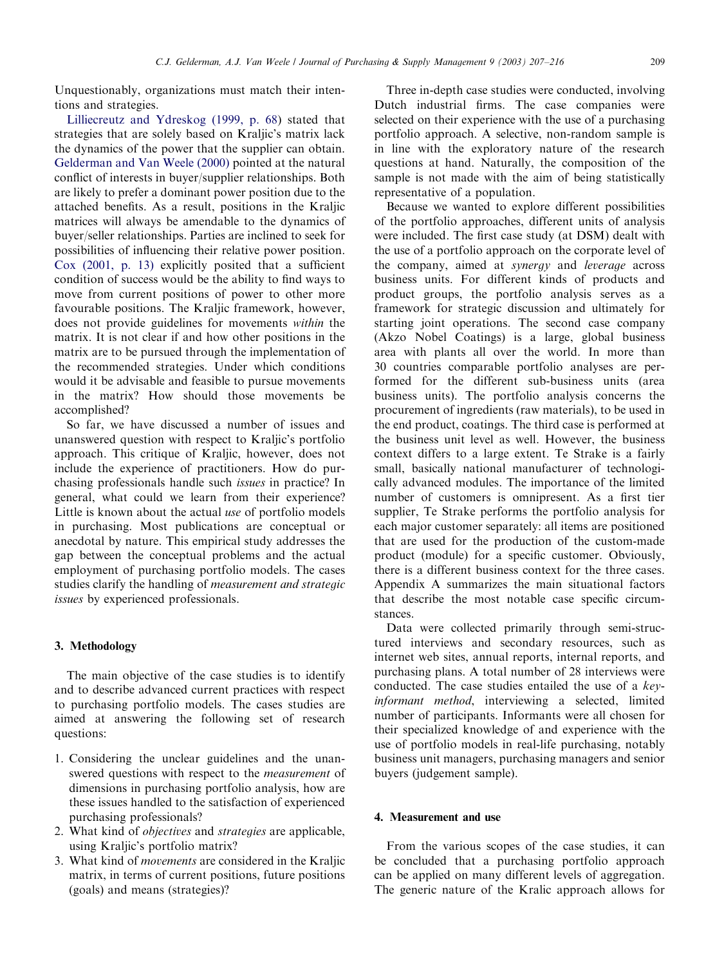Unquestionably, organizations must match their intentions and strategies.

[Lilliecreutz and Ydreskog \(1999, p. 68](#page-9-0)) stated that strategies that are solely based on Kraljic's matrix lack the dynamics of the power that the supplier can obtain. [Gelderman and Van Weele \(2000\)](#page-9-0) pointed at the natural conflict of interests in buyer/supplier relationships. Both are likely to prefer a dominant power position due to the attached benefits. As a result, positions in the Kraljic matrices will always be amendable to the dynamics of buyer/seller relationships. Parties are inclined to seek for possibilities of influencing their relative power position. [Cox \(2001, p. 13\)](#page-9-0) explicitly posited that a sufficient condition of success would be the ability to find ways to move from current positions of power to other more favourable positions. The Kraljic framework, however, does not provide guidelines for movements within the matrix. It is not clear if and how other positions in the matrix are to be pursued through the implementation of the recommended strategies. Under which conditions would it be advisable and feasible to pursue movements in the matrix? How should those movements be accomplished?

So far, we have discussed a number of issues and unanswered question with respect to Kraljic's portfolio approach. This critique of Kraljic, however, does not include the experience of practitioners. How do purchasing professionals handle such issues in practice? In general, what could we learn from their experience? Little is known about the actual use of portfolio models in purchasing. Most publications are conceptual or anecdotal by nature. This empirical study addresses the gap between the conceptual problems and the actual employment of purchasing portfolio models. The cases studies clarify the handling of measurement and strategic issues by experienced professionals.

# 3. Methodology

The main objective of the case studies is to identify and to describe advanced current practices with respect to purchasing portfolio models. The cases studies are aimed at answering the following set of research questions:

- 1. Considering the unclear guidelines and the unanswered questions with respect to the measurement of dimensions in purchasing portfolio analysis, how are these issues handled to the satisfaction of experienced purchasing professionals?
- 2. What kind of objectives and strategies are applicable, using Kraljic's portfolio matrix?
- 3. What kind of movements are considered in the Kraljic matrix, in terms of current positions, future positions (goals) and means (strategies)?

Three in-depth case studies were conducted, involving Dutch industrial firms. The case companies were selected on their experience with the use of a purchasing portfolio approach. A selective, non-random sample is in line with the exploratory nature of the research questions at hand. Naturally, the composition of the sample is not made with the aim of being statistically representative of a population.

Because we wanted to explore different possibilities of the portfolio approaches, different units of analysis were included. The first case study (at DSM) dealt with the use of a portfolio approach on the corporate level of the company, aimed at synergy and leverage across business units. For different kinds of products and product groups, the portfolio analysis serves as a framework for strategic discussion and ultimately for starting joint operations. The second case company (Akzo Nobel Coatings) is a large, global business area with plants all over the world. In more than 30 countries comparable portfolio analyses are performed for the different sub-business units (area business units). The portfolio analysis concerns the procurement of ingredients (raw materials), to be used in the end product, coatings. The third case is performed at the business unit level as well. However, the business context differs to a large extent. Te Strake is a fairly small, basically national manufacturer of technologically advanced modules. The importance of the limited number of customers is omnipresent. As a first tier supplier, Te Strake performs the portfolio analysis for each major customer separately: all items are positioned that are used for the production of the custom-made product (module) for a specific customer. Obviously, there is a different business context for the three cases. Appendix A summarizes the main situational factors that describe the most notable case specific circumstances.

Data were collected primarily through semi-structured interviews and secondary resources, such as internet web sites, annual reports, internal reports, and purchasing plans. A total number of 28 interviews were conducted. The case studies entailed the use of a keyinformant method, interviewing a selected, limited number of participants. Informants were all chosen for their specialized knowledge of and experience with the use of portfolio models in real-life purchasing, notably business unit managers, purchasing managers and senior buyers (judgement sample).

## 4. Measurement and use

From the various scopes of the case studies, it can be concluded that a purchasing portfolio approach can be applied on many different levels of aggregation. The generic nature of the Kralic approach allows for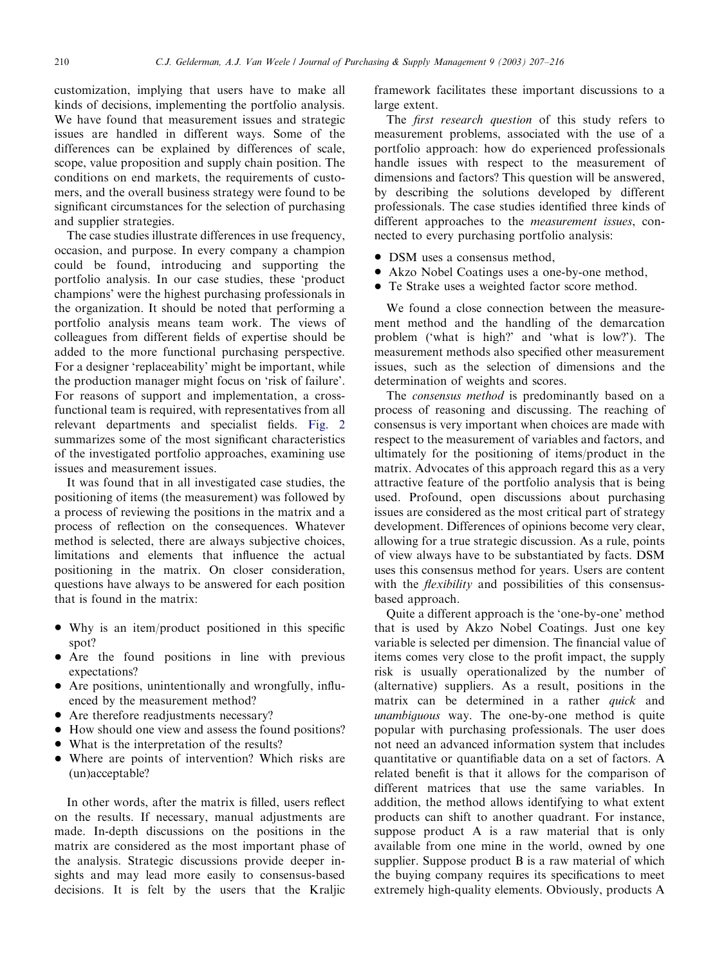customization, implying that users have to make all kinds of decisions, implementing the portfolio analysis. We have found that measurement issues and strategic issues are handled in different ways. Some of the differences can be explained by differences of scale, scope, value proposition and supply chain position. The conditions on end markets, the requirements of customers, and the overall business strategy were found to be significant circumstances for the selection of purchasing and supplier strategies.

The case studies illustrate differences in use frequency, occasion, and purpose. In every company a champion could be found, introducing and supporting the portfolio analysis. In our case studies, these 'product champions' were the highest purchasing professionals in the organization. It should be noted that performing a portfolio analysis means team work. The views of colleagues from different fields of expertise should be added to the more functional purchasing perspective. For a designer 'replaceability' might be important, while the production manager might focus on 'risk of failure'. For reasons of support and implementation, a crossfunctional team is required, with representatives from all relevant departments and specialist fields. [Fig. 2](#page-4-0) summarizes some of the most significant characteristics of the investigated portfolio approaches, examining use issues and measurement issues.

It was found that in all investigated case studies, the positioning of items (the measurement) was followed by a process of reviewing the positions in the matrix and a process of reflection on the consequences. Whatever method is selected, there are always subjective choices, limitations and elements that influence the actual positioning in the matrix. On closer consideration, questions have always to be answered for each position that is found in the matrix:

- Why is an item/product positioned in this specific spot?
- Are the found positions in line with previous expectations?
- Are positions, unintentionally and wrongfully, influenced by the measurement method?
- Are therefore readjustments necessary?
- How should one view and assess the found positions?
- What is the interpretation of the results?
- Where are points of intervention? Which risks are (un)acceptable?

In other words, after the matrix is filled, users reflect on the results. If necessary, manual adjustments are made. In-depth discussions on the positions in the matrix are considered as the most important phase of the analysis. Strategic discussions provide deeper insights and may lead more easily to consensus-based decisions. It is felt by the users that the Kraljic

framework facilitates these important discussions to a large extent.

The *first research question* of this study refers to measurement problems, associated with the use of a portfolio approach: how do experienced professionals handle issues with respect to the measurement of dimensions and factors? This question will be answered, by describing the solutions developed by different professionals. The case studies identified three kinds of different approaches to the *measurement issues*, connected to every purchasing portfolio analysis:

- DSM uses a consensus method,
- Akzo Nobel Coatings uses a one-by-one method,
- Te Strake uses a weighted factor score method.

We found a close connection between the measurement method and the handling of the demarcation problem ('what is high?' and 'what is low?'). The measurement methods also specified other measurement issues, such as the selection of dimensions and the determination of weights and scores.

The *consensus method* is predominantly based on a process of reasoning and discussing. The reaching of consensus is very important when choices are made with respect to the measurement of variables and factors, and ultimately for the positioning of items/product in the matrix. Advocates of this approach regard this as a very attractive feature of the portfolio analysis that is being used. Profound, open discussions about purchasing issues are considered as the most critical part of strategy development. Differences of opinions become very clear, allowing for a true strategic discussion. As a rule, points of view always have to be substantiated by facts. DSM uses this consensus method for years. Users are content with the *flexibility* and possibilities of this consensusbased approach.

Quite a different approach is the 'one-by-one' method that is used by Akzo Nobel Coatings. Just one key variable is selected per dimension. The financial value of items comes very close to the profit impact, the supply risk is usually operationalized by the number of (alternative) suppliers. As a result, positions in the matrix can be determined in a rather quick and unambiguous way. The one-by-one method is quite popular with purchasing professionals. The user does not need an advanced information system that includes quantitative or quantifiable data on a set of factors. A related benefit is that it allows for the comparison of different matrices that use the same variables. In addition, the method allows identifying to what extent products can shift to another quadrant. For instance, suppose product A is a raw material that is only available from one mine in the world, owned by one supplier. Suppose product B is a raw material of which the buying company requires its specifications to meet extremely high-quality elements. Obviously, products A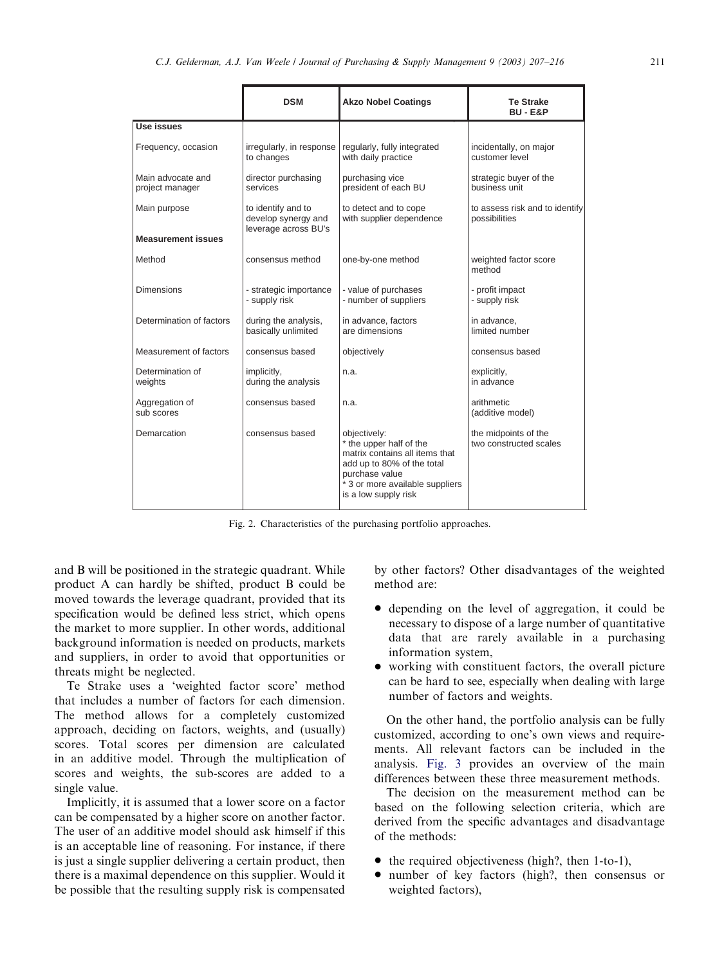<span id="page-4-0"></span>

|                                      | <b>DSM</b>                                                        | <b>Akzo Nobel Coatings</b>                                                                                                                                                           | <b>Te Strake</b><br><b>BU - E&amp;P</b>         |
|--------------------------------------|-------------------------------------------------------------------|--------------------------------------------------------------------------------------------------------------------------------------------------------------------------------------|-------------------------------------------------|
| Use issues                           |                                                                   |                                                                                                                                                                                      |                                                 |
| Frequency, occasion                  | irregularly, in response<br>to changes                            | regularly, fully integrated<br>with daily practice                                                                                                                                   | incidentally, on major<br>customer level        |
| Main advocate and<br>project manager | director purchasing<br>services                                   | purchasing vice<br>president of each BU                                                                                                                                              | strategic buyer of the<br>business unit         |
| Main purpose                         | to identify and to<br>develop synergy and<br>leverage across BU's | to detect and to cope<br>with supplier dependence                                                                                                                                    | to assess risk and to identify<br>possibilities |
| <b>Measurement issues</b>            |                                                                   |                                                                                                                                                                                      |                                                 |
| Method                               | consensus method                                                  | one-by-one method                                                                                                                                                                    | weighted factor score<br>method                 |
| Dimensions                           | - strategic importance<br>- supply risk                           | - value of purchases<br>- number of suppliers                                                                                                                                        | - profit impact<br>- supply risk                |
| Determination of factors             | during the analysis,<br>basically unlimited                       | in advance, factors<br>are dimensions                                                                                                                                                | in advance.<br>limited number                   |
| Measurement of factors               | consensus based                                                   | objectively                                                                                                                                                                          | consensus based                                 |
| Determination of<br>weights          | implicitly,<br>during the analysis                                | n.a.                                                                                                                                                                                 | explicitly,<br>in advance                       |
| Aggregation of<br>sub scores         | consensus based                                                   | n.a.                                                                                                                                                                                 | arithmetic<br>(additive model)                  |
| Demarcation                          | consensus based                                                   | objectively:<br>* the upper half of the<br>matrix contains all items that<br>add up to 80% of the total<br>purchase value<br>* 3 or more available suppliers<br>is a low supply risk | the midpoints of the<br>two constructed scales  |

Fig. 2. Characteristics of the purchasing portfolio approaches.

and B will be positioned in the strategic quadrant. While product A can hardly be shifted, product B could be moved towards the leverage quadrant, provided that its specification would be defined less strict, which opens the market to more supplier. In other words, additional background information is needed on products, markets and suppliers, in order to avoid that opportunities or threats might be neglected.

Te Strake uses a 'weighted factor score' method that includes a number of factors for each dimension. The method allows for a completely customized approach, deciding on factors, weights, and (usually) scores. Total scores per dimension are calculated in an additive model. Through the multiplication of scores and weights, the sub-scores are added to a single value.

Implicitly, it is assumed that a lower score on a factor can be compensated by a higher score on another factor. The user of an additive model should ask himself if this is an acceptable line of reasoning. For instance, if there is just a single supplier delivering a certain product, then there is a maximal dependence on this supplier. Would it be possible that the resulting supply risk is compensated

by other factors? Other disadvantages of the weighted method are:

- depending on the level of aggregation, it could be necessary to dispose of a large number of quantitative data that are rarely available in a purchasing information system,
- working with constituent factors, the overall picture can be hard to see, especially when dealing with large number of factors and weights.

On the other hand, the portfolio analysis can be fully customized, according to one's own views and requirements. All relevant factors can be included in the analysis. [Fig. 3](#page-5-0) provides an overview of the main differences between these three measurement methods.

The decision on the measurement method can be based on the following selection criteria, which are derived from the specific advantages and disadvantage of the methods:

- $\bullet$  the required objectiveness (high?, then 1-to-1),
- number of key factors (high?, then consensus or weighted factors),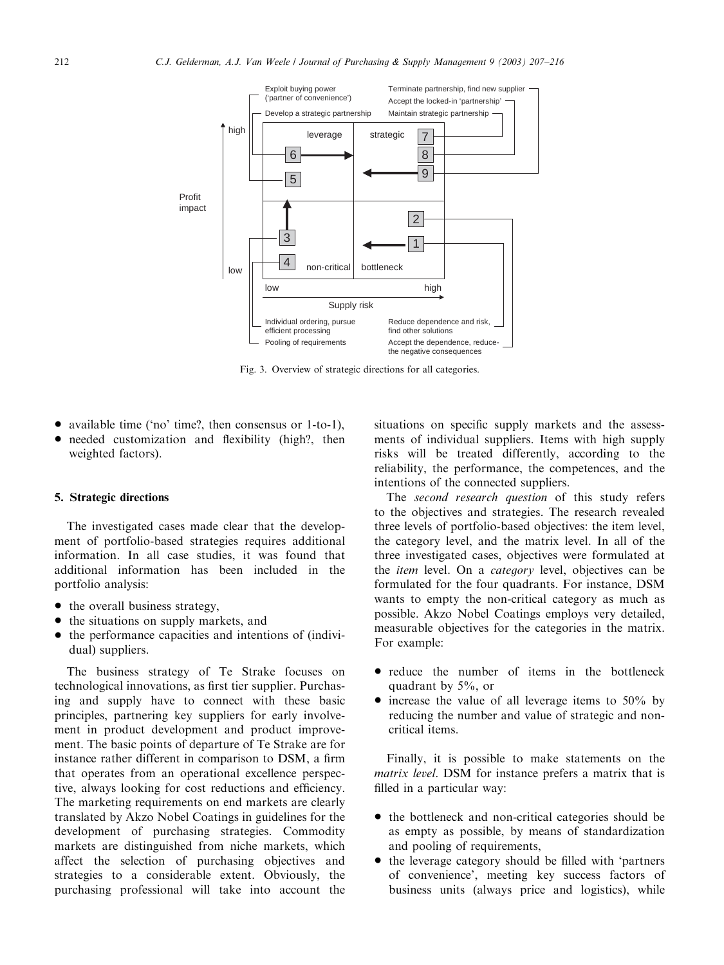<span id="page-5-0"></span>

Fig. 3. Overview of strategic directions for all categories.

- available time ('no' time?, then consensus or 1-to-1).
- needed customization and flexibility (high?, then weighted factors).

# 5. Strategic directions

The investigated cases made clear that the development of portfolio-based strategies requires additional information. In all case studies, it was found that additional information has been included in the portfolio analysis:

- $\bullet$  the overall business strategy,
- the situations on supply markets, and
- the performance capacities and intentions of (individual) suppliers.

The business strategy of Te Strake focuses on technological innovations, as first tier supplier. Purchasing and supply have to connect with these basic principles, partnering key suppliers for early involvement in product development and product improvement. The basic points of departure of Te Strake are for instance rather different in comparison to DSM, a firm that operates from an operational excellence perspective, always looking for cost reductions and efficiency. The marketing requirements on end markets are clearly translated by Akzo Nobel Coatings in guidelines for the development of purchasing strategies. Commodity markets are distinguished from niche markets, which affect the selection of purchasing objectives and strategies to a considerable extent. Obviously, the purchasing professional will take into account the situations on specific supply markets and the assessments of individual suppliers. Items with high supply risks will be treated differently, according to the reliability, the performance, the competences, and the intentions of the connected suppliers.

The second research question of this study refers to the objectives and strategies. The research revealed three levels of portfolio-based objectives: the item level, the category level, and the matrix level. In all of the three investigated cases, objectives were formulated at the item level. On a category level, objectives can be formulated for the four quadrants. For instance, DSM wants to empty the non-critical category as much as possible. Akzo Nobel Coatings employs very detailed, measurable objectives for the categories in the matrix. For example:

- reduce the number of items in the bottleneck quadrant by 5%, or
- increase the value of all leverage items to  $50\%$  by reducing the number and value of strategic and noncritical items.

Finally, it is possible to make statements on the matrix level. DSM for instance prefers a matrix that is filled in a particular way:

- the bottleneck and non-critical categories should be as empty as possible, by means of standardization and pooling of requirements,
- the leverage category should be filled with 'partners' of convenience', meeting key success factors of business units (always price and logistics), while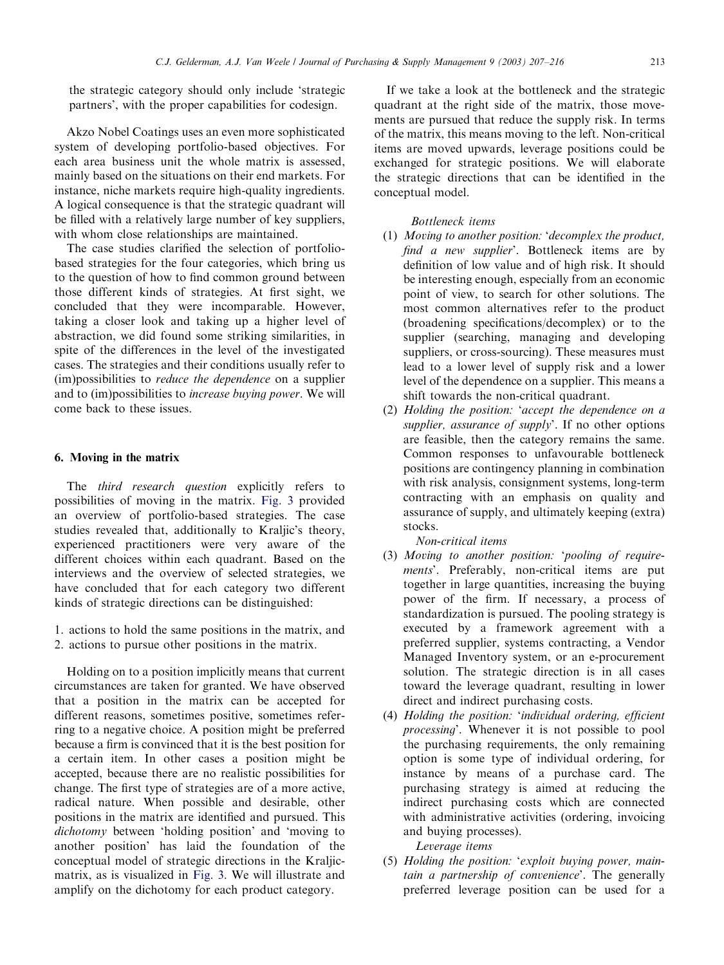the strategic category should only include 'strategic partners', with the proper capabilities for codesign.

Akzo Nobel Coatings uses an even more sophisticated system of developing portfolio-based objectives. For each area business unit the whole matrix is assessed, mainly based on the situations on their end markets. For instance, niche markets require high-quality ingredients. A logical consequence is that the strategic quadrant will be filled with a relatively large number of key suppliers, with whom close relationships are maintained.

The case studies clarified the selection of portfoliobased strategies for the four categories, which bring us to the question of how to find common ground between those different kinds of strategies. At first sight, we concluded that they were incomparable. However, taking a closer look and taking up a higher level of abstraction, we did found some striking similarities, in spite of the differences in the level of the investigated cases. The strategies and their conditions usually refer to (im)possibilities to reduce the dependence on a supplier and to (im)possibilities to increase buying power. We will come back to these issues.

#### 6. Moving in the matrix

The *third research question* explicitly refers to possibilities of moving in the matrix. [Fig. 3](#page-5-0) provided an overview of portfolio-based strategies. The case studies revealed that, additionally to Kraljic's theory, experienced practitioners were very aware of the different choices within each quadrant. Based on the interviews and the overview of selected strategies, we have concluded that for each category two different kinds of strategic directions can be distinguished:

1. actions to hold the same positions in the matrix, and 2. actions to pursue other positions in the matrix.

Holding on to a position implicitly means that current circumstances are taken for granted. We have observed that a position in the matrix can be accepted for different reasons, sometimes positive, sometimes referring to a negative choice. A position might be preferred because a firm is convinced that it is the best position for a certain item. In other cases a position might be accepted, because there are no realistic possibilities for change. The first type of strategies are of a more active, radical nature. When possible and desirable, other positions in the matrix are identified and pursued. This dichotomy between 'holding position' and 'moving to another position' has laid the foundation of the conceptual model of strategic directions in the Kraljicmatrix, as is visualized in [Fig. 3](#page-5-0). We will illustrate and amplify on the dichotomy for each product category.

If we take a look at the bottleneck and the strategic quadrant at the right side of the matrix, those movements are pursued that reduce the supply risk. In terms of the matrix, this means moving to the left. Non-critical items are moved upwards, leverage positions could be exchanged for strategic positions. We will elaborate the strategic directions that can be identified in the conceptual model.

## Bottleneck items

- (1) Moving to another position: 'decomplex the product, find a new supplier'. Bottleneck items are by definition of low value and of high risk. It should be interesting enough, especially from an economic point of view, to search for other solutions. The most common alternatives refer to the product (broadening specifications/decomplex) or to the supplier (searching, managing and developing suppliers, or cross-sourcing). These measures must lead to a lower level of supply risk and a lower level of the dependence on a supplier. This means a shift towards the non-critical quadrant.
- (2) Holding the position: 'accept the dependence on a supplier, assurance of supply'. If no other options are feasible, then the category remains the same. Common responses to unfavourable bottleneck positions are contingency planning in combination with risk analysis, consignment systems, long-term contracting with an emphasis on quality and assurance of supply, and ultimately keeping (extra) stocks.

## Non-critical items

- (3) Moving to another position: 'pooling of requirements'. Preferably, non-critical items are put together in large quantities, increasing the buying power of the firm. If necessary, a process of standardization is pursued. The pooling strategy is executed by a framework agreement with a preferred supplier, systems contracting, a Vendor Managed Inventory system, or an e-procurement solution. The strategic direction is in all cases toward the leverage quadrant, resulting in lower direct and indirect purchasing costs.
- (4) Holding the position: 'individual ordering, efficient processing'. Whenever it is not possible to pool the purchasing requirements, the only remaining option is some type of individual ordering, for instance by means of a purchase card. The purchasing strategy is aimed at reducing the indirect purchasing costs which are connected with administrative activities (ordering, invoicing and buying processes).

Leverage items

(5) Holding the position: 'exploit buying power, maintain a partnership of convenience'. The generally preferred leverage position can be used for a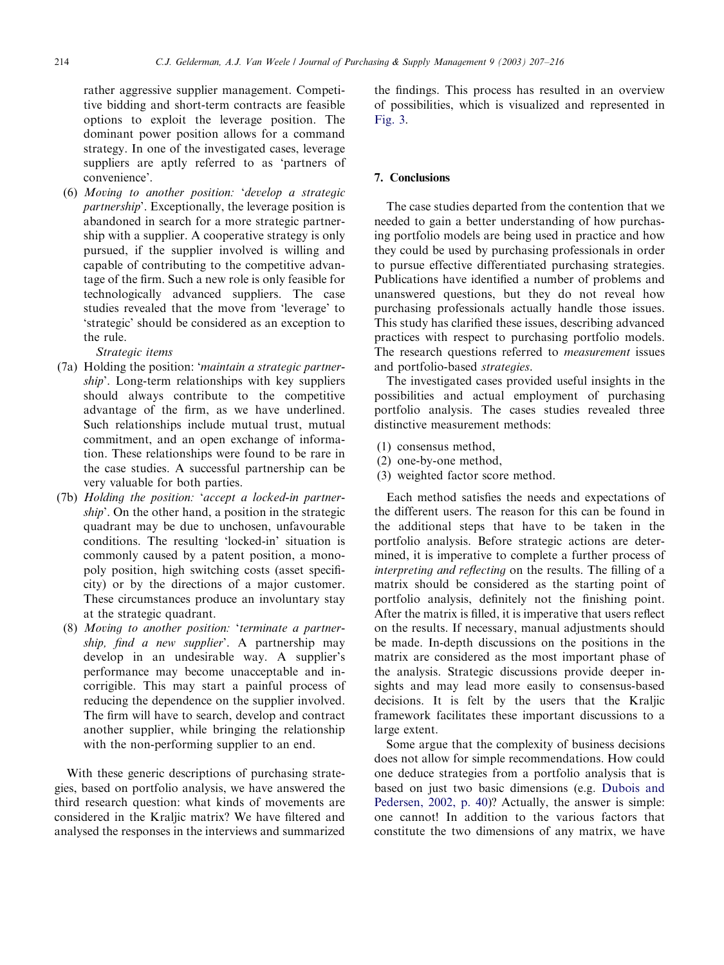rather aggressive supplier management. Competitive bidding and short-term contracts are feasible options to exploit the leverage position. The dominant power position allows for a command strategy. In one of the investigated cases, leverage suppliers are aptly referred to as 'partners of convenience'.

(6) Moving to another position: 'develop a strategic partnership'. Exceptionally, the leverage position is abandoned in search for a more strategic partnership with a supplier. A cooperative strategy is only pursued, if the supplier involved is willing and capable of contributing to the competitive advantage of the firm. Such a new role is only feasible for technologically advanced suppliers. The case studies revealed that the move from 'leverage' to 'strategic' should be considered as an exception to the rule.

Strategic items

- (7a) Holding the position: 'maintain a strategic partnership'. Long-term relationships with key suppliers should always contribute to the competitive advantage of the firm, as we have underlined. Such relationships include mutual trust, mutual commitment, and an open exchange of information. These relationships were found to be rare in the case studies. A successful partnership can be very valuable for both parties.
- (7b) Holding the position: 'accept a locked-in partnership'. On the other hand, a position in the strategic quadrant may be due to unchosen, unfavourable conditions. The resulting 'locked-in' situation is commonly caused by a patent position, a monopoly position, high switching costs (asset specificity) or by the directions of a major customer. These circumstances produce an involuntary stay at the strategic quadrant.
- (8) Moving to another position: 'terminate a partnership, find a new supplier'. A partnership may develop in an undesirable way. A supplier's performance may become unacceptable and incorrigible. This may start a painful process of reducing the dependence on the supplier involved. The firm will have to search, develop and contract another supplier, while bringing the relationship with the non-performing supplier to an end.

With these generic descriptions of purchasing strategies, based on portfolio analysis, we have answered the third research question: what kinds of movements are considered in the Kraljic matrix? We have filtered and analysed the responses in the interviews and summarized

the findings. This process has resulted in an overview of possibilities, which is visualized and represented in [Fig. 3](#page-5-0).

# 7. Conclusions

The case studies departed from the contention that we needed to gain a better understanding of how purchasing portfolio models are being used in practice and how they could be used by purchasing professionals in order to pursue effective differentiated purchasing strategies. Publications have identified a number of problems and unanswered questions, but they do not reveal how purchasing professionals actually handle those issues. This study has clarified these issues, describing advanced practices with respect to purchasing portfolio models. The research questions referred to *measurement* issues and portfolio-based strategies.

The investigated cases provided useful insights in the possibilities and actual employment of purchasing portfolio analysis. The cases studies revealed three distinctive measurement methods:

- (1) consensus method,
- (2) one-by-one method,
- (3) weighted factor score method.

Each method satisfies the needs and expectations of the different users. The reason for this can be found in the additional steps that have to be taken in the portfolio analysis. Before strategic actions are determined, it is imperative to complete a further process of interpreting and reflecting on the results. The filling of a matrix should be considered as the starting point of portfolio analysis, definitely not the finishing point. After the matrix is filled, it is imperative that users reflect on the results. If necessary, manual adjustments should be made. In-depth discussions on the positions in the matrix are considered as the most important phase of the analysis. Strategic discussions provide deeper insights and may lead more easily to consensus-based decisions. It is felt by the users that the Kraljic framework facilitates these important discussions to a large extent.

Some argue that the complexity of business decisions does not allow for simple recommendations. How could one deduce strategies from a portfolio analysis that is based on just two basic dimensions (e.g. [Dubois and](#page-9-0) [Pedersen, 2002, p. 40](#page-9-0))? Actually, the answer is simple: one cannot! In addition to the various factors that constitute the two dimensions of any matrix, we have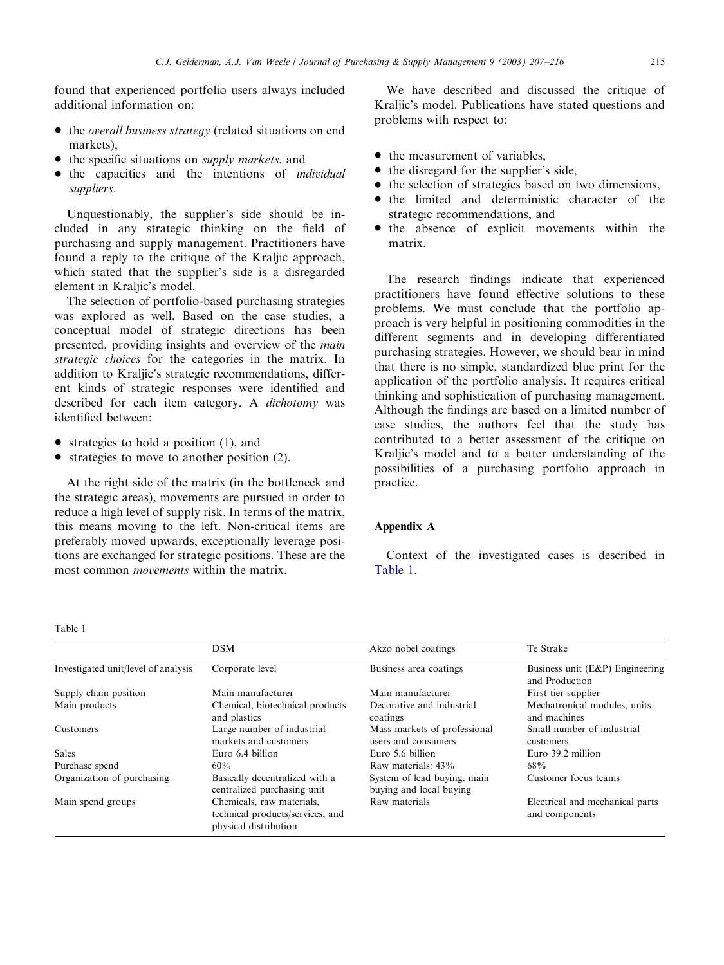found that experienced portfolio users always included additional information on:

- $\bullet$  the *overall business strategy* (related situations on end markets),
- $\bullet$  the specific situations on *supply markets*, and
- the capacities and the intentions of *individual* suppliers.

Unquestionably, the supplier's side should be included in any strategic thinking on the field of purchasing and supply management. Practitioners have found a reply to the critique of the Kraljic approach, which stated that the supplier's side is a disregarded element in Kraliic's model.

The selection of portfolio-based purchasing strategies was explored as well. Based on the case studies, a conceptual model of strategic directions has been presented, providing insights and overview of the main strategic choices for the categories in the matrix. In addition to Kraljic's strategic recommendations, different kinds of strategic responses were identified and described for each item category. A dichotomy was identified between:

- strategies to hold a position  $(1)$ , and
- $\bullet$  strategies to move to another position (2).

At the right side of the matrix (in the bottleneck and the strategic areas), movements are pursued in order to reduce a high level of supply risk. In terms of the matrix, this means moving to the left. Non-critical items are preferably moved upwards, exceptionally leverage positions are exchanged for strategic positions. These are the most common movements within the matrix.

We have described and discussed the critique of Kraljic's model. Publications have stated questions and problems with respect to:

- the measurement of variables,
- the disregard for the supplier's side,
- $\bullet$  the selection of strategies based on two dimensions,
- the limited and deterministic character of the strategic recommendations, and
- the absence of explicit movements within the matrix.

The research findings indicate that experienced practitioners have found effective solutions to these problems. We must conclude that the portfolio approach is very helpful in positioning commodities in the different segments and in developing differentiated purchasing strategies. However, we should bear in mind that there is no simple, standardized blue print for the application of the portfolio analysis. It requires critical thinking and sophistication of purchasing management. Although the findings are based on a limited number of case studies, the authors feel that the study has contributed to a better assessment of the critique on Kraljic's model and to a better understanding of the possibilities of a purchasing portfolio approach in practice.

# Appendix A

Context of the investigated cases is described in Table 1.

Table 1

|                                     | <b>DSM</b>                                                                             | Akzo nobel coatings                                    | Te Strake                                         |
|-------------------------------------|----------------------------------------------------------------------------------------|--------------------------------------------------------|---------------------------------------------------|
| Investigated unit/level of analysis | Corporate level                                                                        | Business area coatings                                 | Business unit (E&P) Engineering<br>and Production |
| Supply chain position               | Main manufacturer                                                                      | Main manufacturer                                      | First tier supplier                               |
| Main products                       | Chemical, biotechnical products<br>and plastics                                        | Decorative and industrial<br>coatings                  | Mechatronical modules, units<br>and machines      |
| Customers                           | Large number of industrial<br>markets and customers                                    | Mass markets of professional<br>users and consumers    | Small number of industrial<br>customers           |
| <b>Sales</b>                        | Euro 6.4 billion                                                                       | Euro 5.6 billion                                       | Euro 39.2 million                                 |
| Purchase spend                      | $60\%$                                                                                 | Raw materials: 43%                                     | $68\%$                                            |
| Organization of purchasing          | Basically decentralized with a<br>centralized purchasing unit                          | System of lead buying, main<br>buying and local buying | Customer focus teams                              |
| Main spend groups                   | Chemicals, raw materials,<br>technical products/services, and<br>physical distribution | Raw materials                                          | Electrical and mechanical parts<br>and components |